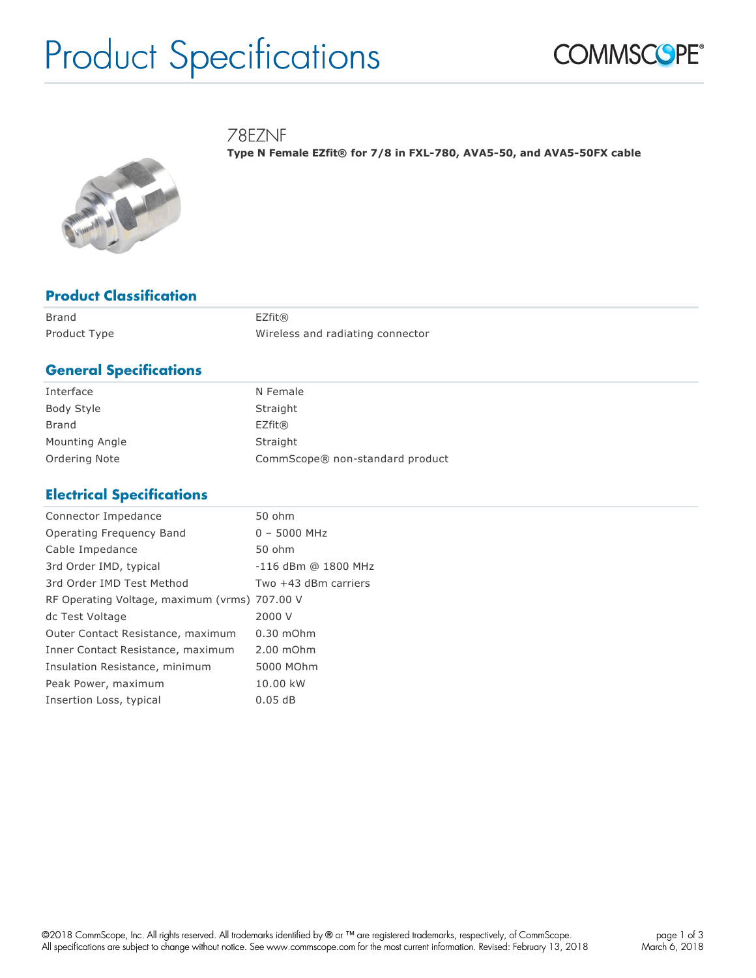# Product Specifications



78EZNF

**Type N Female EZfit® for 7/8 in FXL-780, AVA5-50, and AVA5-50FX cable**



## **Product Classification**

| Brand        | EZfit@                           |
|--------------|----------------------------------|
| Product Type | Wireless and radiating connector |

## **General Specifications**

| Interface      | N Female                        |
|----------------|---------------------------------|
| Body Style     | Straight                        |
| Brand          | EZfit@                          |
| Mounting Angle | Straight                        |
| Ordering Note  | CommScope® non-standard product |

# **Electrical Specifications**

| $0 - 5000$ MHz<br>-116 dBm @ 1800 MHz |
|---------------------------------------|
|                                       |
|                                       |
|                                       |
| Two +43 dBm carriers                  |
|                                       |
|                                       |
| $0.30$ mOhm                           |
| $2.00$ m $Ohm$                        |
|                                       |
| 5000 MOhm                             |
|                                       |
|                                       |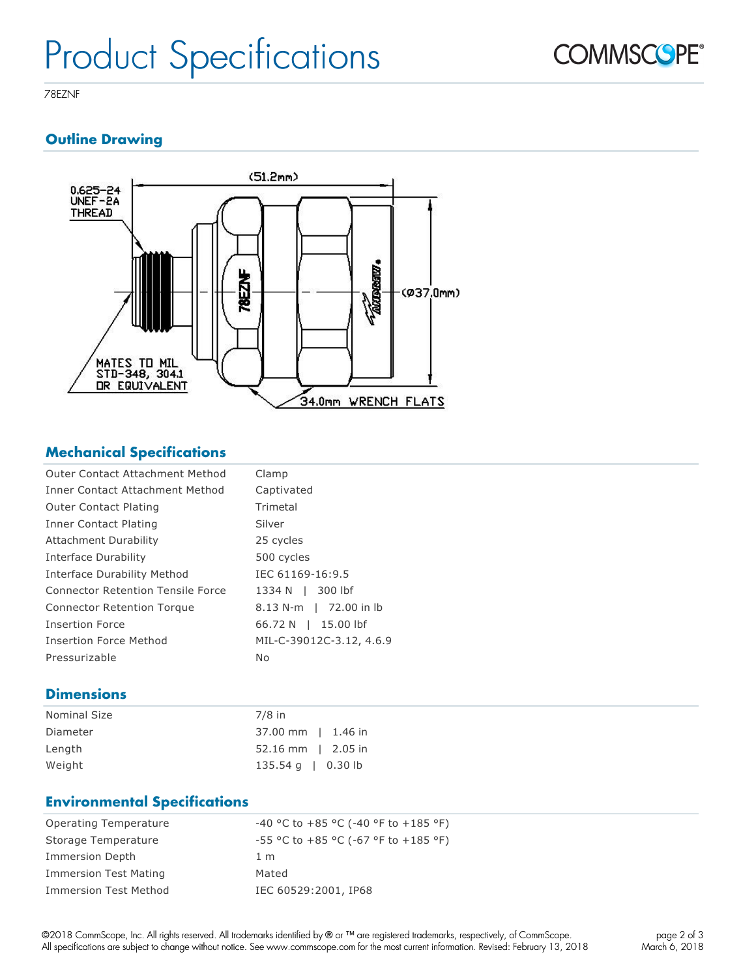

78EZNF

# **Outline Drawing**



# **Mechanical Specifications**

| Clamp                    |
|--------------------------|
| Captivated               |
| Trimetal                 |
| Silver                   |
| 25 cycles                |
| 500 cycles               |
| IEC 61169-16:9.5         |
| 300 lbf<br>1334 N I      |
| 8.13 N-m   72.00 in lb   |
| 66.72 N   15.00 lbf      |
| MIL-C-39012C-3.12, 4.6.9 |
| No                       |
|                          |

# **Dimensions**

| <b>Nominal Size</b> | $7/8$ in                 |
|---------------------|--------------------------|
| Diameter            | 37.00 mm   1.46 in       |
| Length              | $52.16$ mm   2.05 in     |
| Weight              | 135.54 g $\vert$ 0.30 lb |

### **Environmental Specifications**

| <b>Operating Temperature</b> | -40 °C to +85 °C (-40 °F to +185 °F)          |
|------------------------------|-----------------------------------------------|
| Storage Temperature          | $-55$ °C to $+85$ °C ( $-67$ °F to $+185$ °F) |
| Immersion Depth              | 1 <sub>m</sub>                                |
| <b>Immersion Test Mating</b> | Mated                                         |
| Immersion Test Method        | IEC 60529:2001, IP68                          |